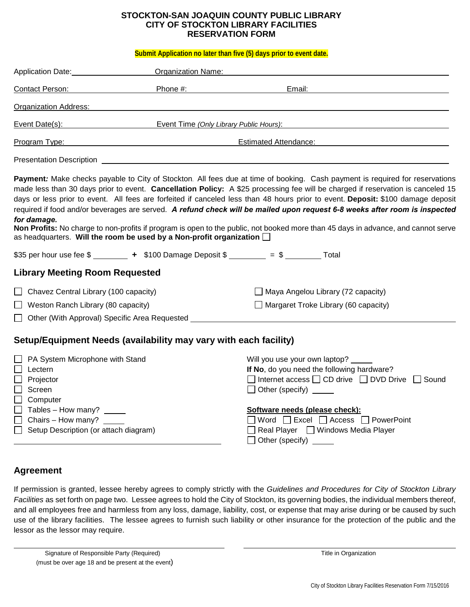## **STOCKTON-SAN JOAQUIN COUNTY PUBLIC LIBRARY CITY OF STOCKTON LIBRARY FACILITIES RESERVATION FORM**

**Submit Application no later than five (5) days prior to event date.**

| Application Date: National Application Date:                                  | <b>Organization Name:</b>                                                                                                                                                                                                      |                                                                                                                                                                                                                                                                                                                                                                                                                                                                                                                                                                                                                                                                        |
|-------------------------------------------------------------------------------|--------------------------------------------------------------------------------------------------------------------------------------------------------------------------------------------------------------------------------|------------------------------------------------------------------------------------------------------------------------------------------------------------------------------------------------------------------------------------------------------------------------------------------------------------------------------------------------------------------------------------------------------------------------------------------------------------------------------------------------------------------------------------------------------------------------------------------------------------------------------------------------------------------------|
| Contact Person: The Contact Person:                                           | Phone #: the state of the state of the state of the state of the state of the state of the state of the state of the state of the state of the state of the state of the state of the state of the state of the state of the s | Email:                                                                                                                                                                                                                                                                                                                                                                                                                                                                                                                                                                                                                                                                 |
| <b>Organization Address:</b>                                                  |                                                                                                                                                                                                                                |                                                                                                                                                                                                                                                                                                                                                                                                                                                                                                                                                                                                                                                                        |
|                                                                               | Event Date(s): Event Time (Only Library Public Hours):                                                                                                                                                                         | <u> 1989 - Johann Barnett, fransk politik (f. 1989)</u>                                                                                                                                                                                                                                                                                                                                                                                                                                                                                                                                                                                                                |
| Program Type:                                                                 | <u> 1980 - Johann Barbara, martxa alemaniar a</u>                                                                                                                                                                              | Estimated Attendance: <b>Example 2018</b>                                                                                                                                                                                                                                                                                                                                                                                                                                                                                                                                                                                                                              |
|                                                                               |                                                                                                                                                                                                                                | Presentation Description <b>Example 2018 CONSERVANT CONSERVANT CONSERVANT CONSERVANT CONSERVANT CONSERVANT CONSERVANT CONSERVANT CONSERVANT CONSERVANT CONSERVANT CONSERVANT CONSERVANT CONSERVANT CONSERVANT CONSERVANT CONSE</b>                                                                                                                                                                                                                                                                                                                                                                                                                                     |
| for damage.                                                                   | as headquarters. Will the room be used by a Non-profit organization $\square$                                                                                                                                                  | Payment: Make checks payable to City of Stockton. All fees due at time of booking. Cash payment is required for reservations<br>made less than 30 days prior to event. Cancellation Policy: A \$25 processing fee will be charged if reservation is canceled 15<br>days or less prior to event. All fees are forfeited if canceled less than 48 hours prior to event. Deposit: \$100 damage deposit<br>required if food and/or beverages are served. A refund check will be mailed upon request 6-8 weeks after room is inspected<br>Non Profits: No charge to non-profits if program is open to the public, not booked more than 45 days in advance, and cannot serve |
|                                                                               |                                                                                                                                                                                                                                | \$35 per hour use fee $\frac{2}{1}$ + \$100 Damage Deposit $\frac{2}{1}$ = \$ __________ Total                                                                                                                                                                                                                                                                                                                                                                                                                                                                                                                                                                         |
| <b>Library Meeting Room Requested</b>                                         |                                                                                                                                                                                                                                |                                                                                                                                                                                                                                                                                                                                                                                                                                                                                                                                                                                                                                                                        |
| $\Box$ Chavez Central Library (100 capacity)                                  |                                                                                                                                                                                                                                | $\Box$ Maya Angelou Library (72 capacity)                                                                                                                                                                                                                                                                                                                                                                                                                                                                                                                                                                                                                              |
| $\Box$ Weston Ranch Library (80 capacity)                                     |                                                                                                                                                                                                                                | $\Box$ Margaret Troke Library (60 capacity)                                                                                                                                                                                                                                                                                                                                                                                                                                                                                                                                                                                                                            |
|                                                                               |                                                                                                                                                                                                                                | Other (With Approval) Specific Area Requested __________________________________                                                                                                                                                                                                                                                                                                                                                                                                                                                                                                                                                                                       |
|                                                                               | Setup/Equipment Needs (availability may vary with each facility)                                                                                                                                                               |                                                                                                                                                                                                                                                                                                                                                                                                                                                                                                                                                                                                                                                                        |
| PA System Microphone with Stand<br>Lectern<br>Projector<br>Screen<br>Computer |                                                                                                                                                                                                                                | Will you use your own laptop?<br>If No, do you need the following hardware?<br>$\Box$ Internet access $\Box$ CD drive $\Box$ DVD Drive $\Box$<br>Sound<br>Other (specify)                                                                                                                                                                                                                                                                                                                                                                                                                                                                                              |

## **Software needs (please check):**

| $\Box$ Word $\Box$ Excel $\Box$ Access $\Box$ PowerPoint |
|----------------------------------------------------------|
|----------------------------------------------------------|

| $\Box$ Real Player | □ Windows Media Player |
|--------------------|------------------------|
|--------------------|------------------------|

| $\Box$ Other (specify) |  |
|------------------------|--|
|------------------------|--|

## **Agreement**

Tables – How many? Chairs – How many?

 $\Box$  Setup Description (or attach diagram)

If permission is granted, lessee hereby agrees to comply strictly with the *Guidelines and Procedures for City of Stockton Library Facilities* as set forth on page two. Lessee agrees to hold the City of Stockton, its governing bodies, the individual members thereof, and all employees free and harmless from any loss, damage, liability, cost, or expense that may arise during or be caused by such use of the library facilities. The lessee agrees to furnish such liability or other insurance for the protection of the public and the lessor as the lessor may require.